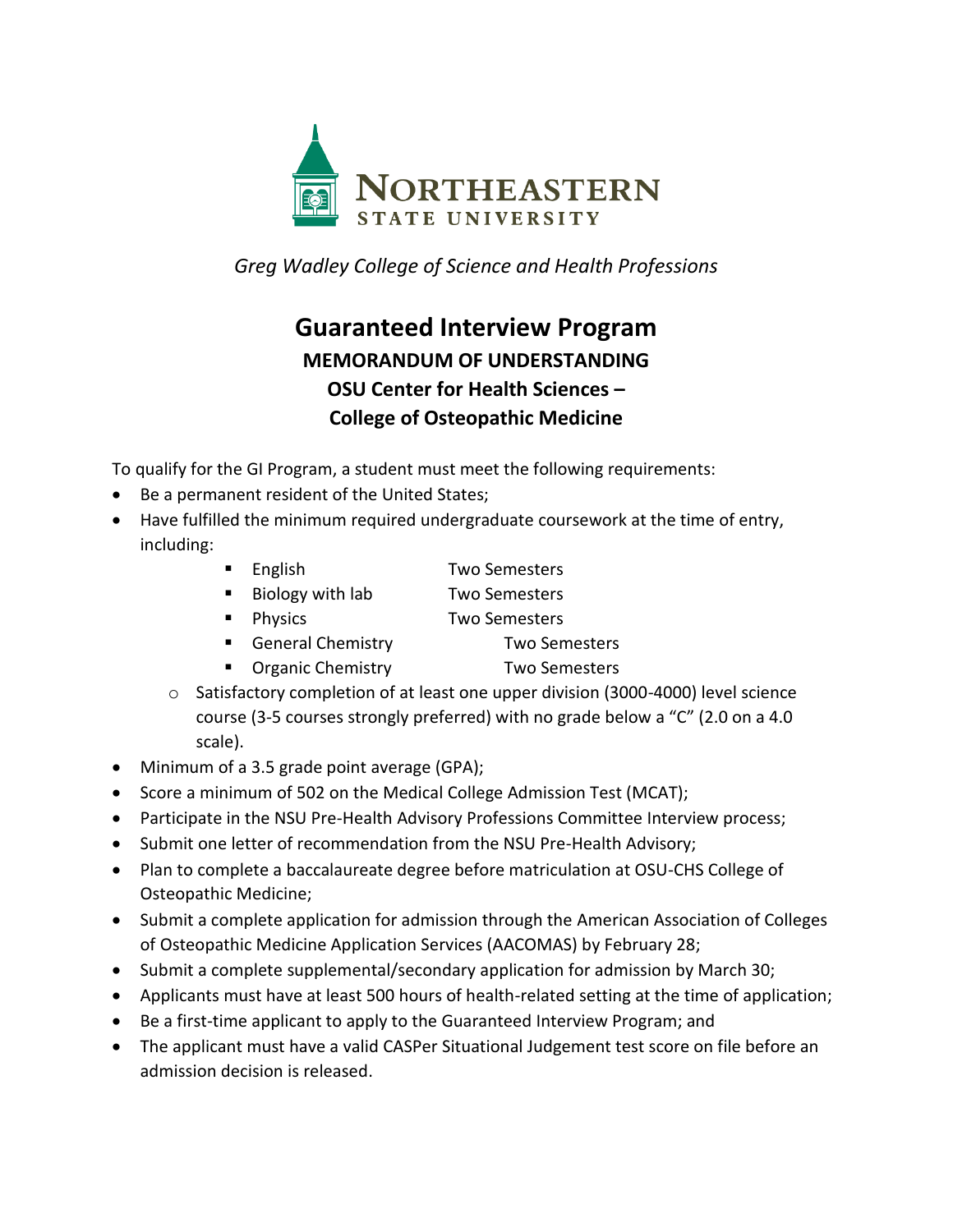

*Greg Wadley College of Science and Health Professions*

## **Guaranteed Interview Program MEMORANDUM OF UNDERSTANDING OSU Center for Health Sciences – College of Osteopathic Medicine**

To qualify for the GI Program, a student must meet the following requirements:

- Be a permanent resident of the United States;
- Have fulfilled the minimum required undergraduate coursework at the time of entry, including:
	- English Two Semesters
	- Biology with lab Two Semesters
	- Physics Two Semesters
	- General Chemistry Two Semesters
	- Organic Chemistry Two Semesters
	- o Satisfactory completion of at least one upper division (3000-4000) level science course (3-5 courses strongly preferred) with no grade below a "C" (2.0 on a 4.0 scale).
- Minimum of a 3.5 grade point average (GPA);
- Score a minimum of 502 on the Medical College Admission Test (MCAT);
- Participate in the NSU Pre-Health Advisory Professions Committee Interview process;
- Submit one letter of recommendation from the NSU Pre-Health Advisory;
- Plan to complete a baccalaureate degree before matriculation at OSU-CHS College of Osteopathic Medicine;
- Submit a complete application for admission through the American Association of Colleges of Osteopathic Medicine Application Services (AACOMAS) by February 28;
- Submit a complete supplemental/secondary application for admission by March 30;
- Applicants must have at least 500 hours of health-related setting at the time of application;
- Be a first-time applicant to apply to the Guaranteed Interview Program; and
- The applicant must have a valid CASPer Situational Judgement test score on file before an admission decision is released.
- 
- 
- - -